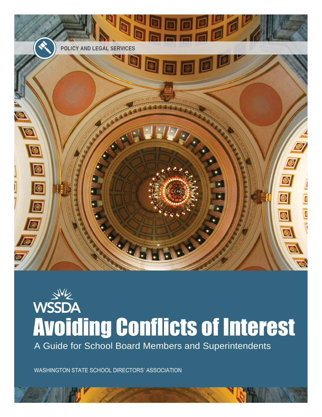

# $\frac{1}{2}$ W<sub>2</sub> Avoiding Conflicts of Interest

A Guide for School Board Members and Superintendents

WASHINGTON STATE SCHOOL DIRECTORS' ASSOCIATION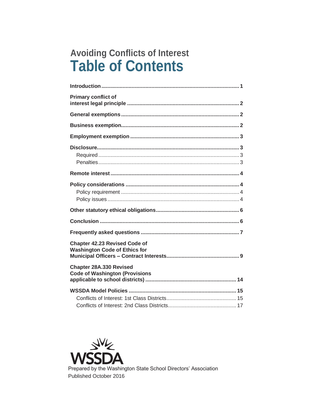### **Avoiding Conflicts of Interest Table of Contents**

| <b>Primary conflict of</b>                                                   |
|------------------------------------------------------------------------------|
|                                                                              |
|                                                                              |
|                                                                              |
|                                                                              |
|                                                                              |
|                                                                              |
|                                                                              |
|                                                                              |
|                                                                              |
| <b>Chapter 42.23 Revised Code of</b><br><b>Washington Code of Ethics for</b> |
| <b>Chapter 28A.330 Revised</b><br><b>Code of Washington (Provisions</b>      |
|                                                                              |



Prepared by the Washington State School Directors' Association Published October 2016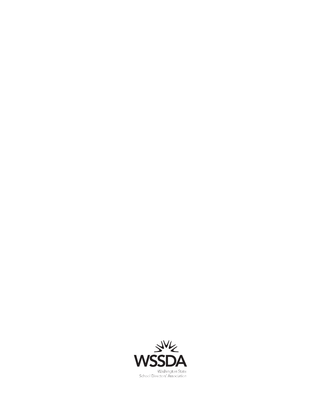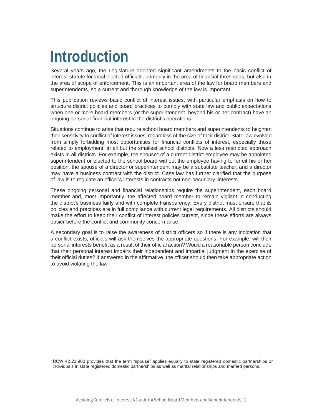### <span id="page-3-0"></span>**Introduction**

Several years ago, the Legislature adopted significant amendments to the basic conflict of interest statute for local elected officials, primarily in the area of financial thresholds, but also in the area of scope of enforcement. This is an important area of the law for board members and superintendents, so a current and thorough knowledge of the law is important.

This publication reviews basic conflict of interest issues, with particular emphasis on how to structure district policies and board practices to comply with state law and public expectations when one or more board members (or the superintendent, beyond his or her contract) have an ongoing personal financial interest in the district's operations.

Situations continue to arise that require school board members and superintendents to heighten their sensitivity to conflict of interest issues, regardless of the size of their district. State law evolved from simply forbidding most opportunities for financial conflicts of interest, especially those related to employment, in all but the smallest school districts. Now a less restricted approach exists in all districts. For example, the spouse\* of a current district employee may be appointed superintendent or elected to the school board without the employee having to forfeit his or her position, the spouse of a director or superintendent may be a substitute teacher, and a director may have a business contract with the district. Case law has further clarified that the purpose of law is to regulate an officer's interests in contracts not non-pecuniary interests.

These ongoing personal and financial relationships require the superintendent, each board member and, most importantly, the affected board member to remain vigilant in conducting the district's business fairly and with complete transparency. Every district must ensure that its policies and practices are in full compliance with current legal requirements. All districts should make the effort to keep their conflict of interest policies current, since these efforts are always easier before the conflict and community concern arise.

A secondary goal is to raise the awareness of district officers so if there is any indication that a conflict exists, officials will ask themselves the appropriate questions. For example, will their personal interests benefit as a result of their official action? Would a reasonable person conclude that their personal interest impairs their independent and impartial judgment in the exercise of their official duties? If answered in the affirmative, the officer should then take appropriate action to avoid violating the law.

\*RCW 42.23.900 provides that the term "spouse" applies equally to state registered domestic partnerships or individuals in state registered domestic partnerships as well as marital relationships and married persons.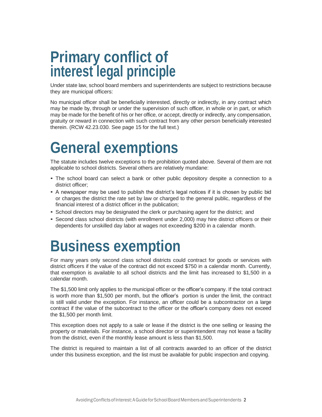### **Primary conflict of interest legal principle**

Under state law, school board members and superintendents are subject to restrictions because they are municipal officers:

No municipal officer shall be beneficially interested, directly or indirectly, in any contract which may be made by, through or under the supervision of such officer, in whole or in part, or which may be made for the benefit of his or her office, or accept, directly or indirectly, any compensation, gratuity or reward in connection with such contract from any other person beneficially interested therein. (RCW 42.23.030. See page 15 for the full text.)

### <span id="page-4-0"></span>**General exemptions**

The statute includes twelve exceptions to the prohibition quoted above. Several of them are not applicable to school districts. Several others are relatively mundane:

- The school board can select a bank or other public depository despite a connection to a district officer;
- A newspaper may be used to publish the district's legal notices if it is chosen by public bid or charges the district the rate set by law or charged to the general public, regardless of the financial interest of a district officer in the publication;
- School directors may be designated the clerk or purchasing agent for the district; and
- Second class school districts (with enrollment under 2,000) may hire district officers or their dependents for unskilled day labor at wages not exceeding \$200 in a calendar month.

### <span id="page-4-1"></span>**Business exemption**

For many years only second class school districts could contract for goods or services with district officers if the value of the contract did not exceed \$750 in a calendar month. Currently, that exemption is available to all school districts and the limit has increased to \$1,500 in a calendar month.

The \$1,500 limit only applies to the municipal officer or the officer's company. If the total contract is worth more than \$1,500 per month, but the officer's portion is under the limit, the contract is still valid under the exception. For instance, an officer could be a subcontractor on a large contract if the value of the subcontract to the officer or the officer's company does not exceed the \$1,500 per month limit.

This exception does not apply to a sale or lease if the district is the one selling or leasing the property or materials. For instance, a school director or superintendent may not lease a facility from the district, even if the monthly lease amount is less than \$1,500.

The district is required to maintain a list of all contracts awarded to an officer of the district under this business exception, and the list must be available for public inspection and copying.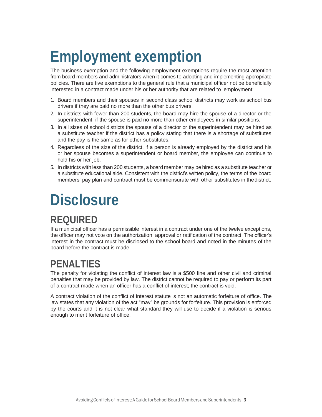# <span id="page-5-0"></span>**Employment exemption**

The business exemption and the following employment exemptions require the most attention from board members and administrators when it comes to adopting and implementing appropriate policies. There are five exemptions to the general rule that a municipal officer not be beneficially interested in a contract made under his or her authority that are related to employment:

- 1. Board members and their spouses in second class school districts may work as school bus drivers if they are paid no more than the other bus drivers.
- 2. In districts with fewer than 200 students, the board may hire the spouse of a director or the superintendent, if the spouse is paid no more than other employees in similar positions.
- 3. In all sizes of school districts the spouse of a director or the superintendent may be hired as a substitute teacher if the district has a policy stating that there is a shortage of substitutes and the pay is the same as for other substitutes.
- 4. Regardless of the size of the district, if a person is already employed by the district and his or her spouse becomes a superintendent or board member, the employee can continue to hold his or her job.
- 5. In districts with less than 200 students, a board member may be hired as a substitute teacher or a substitute educational aide. Consistent with the district's written policy, the terms of the board members' pay plan and contract must be commensurate with other substitutes in thedistrict.

# <span id="page-5-1"></span>**Disclosure**

### <span id="page-5-2"></span>**REQUIRED**

If a municipal officer has a permissible interest in a contract under one of the twelve exceptions, the officer may not vote on the authorization, approval or ratification of the contract. The officer's interest in the contract must be disclosed to the school board and noted in the minutes of the board before the contract is made.

### <span id="page-5-3"></span>**PENALTIES**

The penalty for violating the conflict of interest law is a \$500 fine and other civil and criminal penalties that may be provided by law. The district cannot be required to pay or perform its part of a contract made when an officer has a conflict of interest; the contract is void.

A contract violation of the conflict of interest statute is not an automatic forfeiture of office. The law states that any violation of the act "may" be grounds for forfeiture. This provision is enforced by the courts and it is not clear what standard they will use to decide if a violation is serious enough to merit forfeiture of office.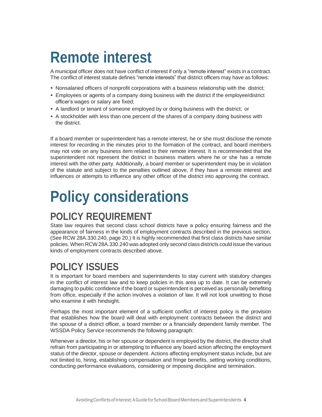### <span id="page-6-0"></span>**Remote interest**

A municipal officer does not have conflict of interest if only a "remote interest" exists in a contract. The conflict of interest statute defines "remote interests" that district officers may have as follows:

- Nonsalaried officers of nonprofit corporations with a business relationship with the district;
- Employees or agents of a company doing business with the district if the employee/district officer's wages or salary are fixed;
- A landlord or tenant of someone employed by or doing business with the district; or
- A stockholder with less than one percent of the shares of a company doing business with the district.

If a board member or superintendent has a remote interest, he or she must disclose the remote interest for recording in the minutes prior to the formation of the contract, and board members may not vote on any business item related to their remote interest. It is recommended that the superintendent not represent the district in business matters where he or she has a remote interest with the other party. Additionally, a board member or superintendent may be in violation of the statute and subject to the penalties outlined above, if they have a remote interest and influences or attempts to influence any other officer of the district into approving the contract.

# <span id="page-6-1"></span>**Policy considerations**

### <span id="page-6-2"></span>**POLICY REQUIREMENT**

State law requires that second class school districts have a policy ensuring fairness and the appearance of fairness in the kinds of employment contracts described in the previous section. (See RCW 28A.330.240, page 20.) It is highly recommended that first class districts have similar policies. When RCW 28A.330.240 was adopted only second class districts could issue the various kinds of employment contracts described above.

### <span id="page-6-3"></span>**POLICY ISSUES**

It is important for board members and superintendents to stay current with statutory changes in the conflict of interest law and to keep policies in this area up to date. It can be extremely damaging to public confidence if the board or superintendent is perceived as personally benefiting from office, especially if the action involves a violation of law. It will not look unwitting to those who examine it with hindsight.

Perhaps the most important element of a sufficient conflict of interest policy is the provision that establishes how the board will deal with employment contracts between the district and the spouse of a district officer, a board member or a financially dependent family member. The WSSDA Policy Service recommends the following paragraph:

Whenever a director, his or her spouse or dependent is employed by the district, the director shall refrain from participating in or attempting to influence any board action affecting the employment status of the director, spouse or dependent. Actions affecting employment status include, but are not limited to, hiring, establishing compensation and fringe benefits, setting working conditions, conducting performance evaluations, considering or imposing discipline and termination.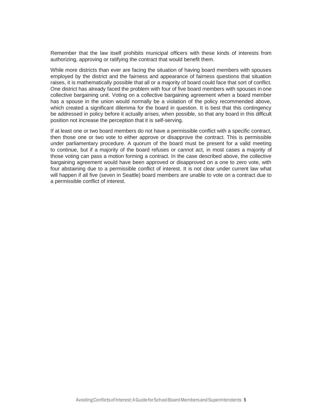Remember that the law itself prohibits municipal officers with these kinds of interests from authorizing, approving or ratifying the contract that would benefit them.

While more districts than ever are facing the situation of having board members with spouses employed by the district and the fairness and appearance of fairness questions that situation raises, it is mathematically possible that all or a majority of board could face that sort of conflict. One district has already faced the problem with four of five board members with spouses in one collective bargaining unit. Voting on a collective bargaining agreement when a board member has a spouse in the union would normally be a violation of the policy recommended above, which created a significant dilemma for the board in question. It is best that this contingency be addressed in policy before it actually arises, when possible, so that any board in this difficult position not increase the perception that it is self-serving.

If at least one or two board members do not have a permissible conflict with a specific contract, then those one or two vote to either approve or disapprove the contract. This is permissible under parliamentary procedure. A quorum of the board must be present for a valid meeting to continue, but if a majority of the board refuses or cannot act, in most cases a majority of those voting can pass a motion forming a contract. In the case described above, the collective bargaining agreement would have been approved or disapproved on a one to zero vote, with four abstaining due to a permissible conflict of interest. It is not clear under current law what will happen if all five (seven in Seattle) board members are unable to vote on a contract due to a permissible conflict of interest.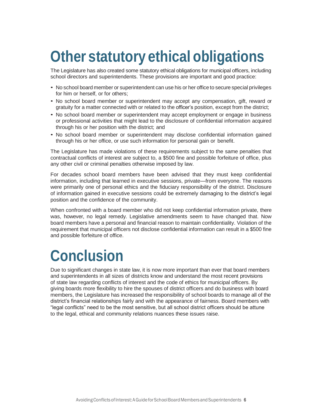# <span id="page-8-0"></span>**Other statutory ethical obligations**

The Legislature has also created some statutory ethical obligations for municipal officers, including school directors and superintendents. These provisions are important and good practice:

- No school board member or superintendent can use his or her office to secure special privileges for him or herself, or for others;
- No school board member or superintendent may accept any compensation, gift, reward or gratuity for a matter connected with or related to the officer's position, except from the district;
- No school board member or superintendent may accept employment or engage in business or professional activities that might lead to the disclosure of confidential information acquired through his or her position with the district; and
- No school board member or superintendent may disclose confidential information gained through his or her office, or use such information for personal gain or benefit.

The Legislature has made violations of these requirements subject to the same penalties that contractual conflicts of interest are subject to, a \$500 fine and possible forfeiture of office, plus any other civil or criminal penalties otherwise imposed by law.

For decades school board members have been advised that they must keep confidential information, including that learned in executive sessions, private—from everyone. The reasons were primarily one of personal ethics and the fiduciary responsibility of the district. Disclosure of information gained in executive sessions could be extremely damaging to the district's legal position and the confidence of the community.

When confronted with a board member who did not keep confidential information private, there was, however, no legal remedy. Legislative amendments seem to have changed that. Now board members have a personal and financial reason to maintain confidentiality. Violation of the requirement that municipal officers not disclose confidential information can result in a \$500 fine and possible forfeiture of office.

### <span id="page-8-1"></span>**Conclusion**

Due to significant changes in state law, it is now more important than ever that board members and superintendents in all sizes of districts know and understand the most recent provisions of state law regarding conflicts of interest and the code of ethics for municipal officers. By giving boards more flexibility to hire the spouses of district officers and do business with board members, the Legislature has increased the responsibility of school boards to manage all of the district's financial relationships fairly and with the appearance of fairness. Board members with "legal conflicts" need to be the most sensitive, but all school district officers should be attune to the legal, ethical and community relations nuances these issues raise.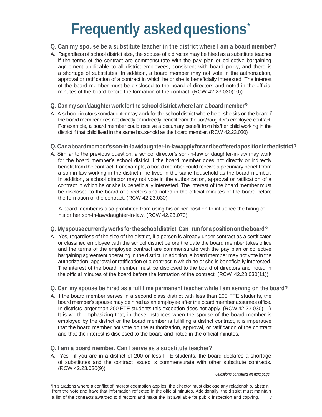### **Frequently askedquestions**\*

- <span id="page-9-0"></span>**Q. Can my spouse be a substitute teacher in the district where I am a board member?**
- A. Regardless of school district size, the spouse of a director may be hired as a substitute teacher if the terms of the contract are commensurate with the pay plan or collective bargaining agreement applicable to all district employees, consistent with board policy, and there is a shortage of substitutes. In addition, a board member may not vote in the authorization, approval or ratification of a contract in which he or she is beneficially interested. The interest of the board member must be disclosed to the board of directors and noted in the official minutes of the board before the formation of the contract. (RCW 42.23.030(10))
- **Q. Can my son/daughter work forthe school district where I am a board member?**
- A. A school director's son/daughter may work for the school district where he or she sits on the board if the board member does not directly or indirectly benefit from the son/daughter's employee contract. For example, a board member could receive a pecuniary benefit from his/her child working in the district if that child lived in the same household as the board member. (RCW 42.23.030)

#### **Q.Canaboardmember'sson-in-law/daughter-in-lawapplyforandbeofferedapositioninthedistrict?**

A. Similar to the previous question, a school director's son-in-law or daughter-in-law may work for the board member's school district if the board member does not directly or indirectly benefit from the contract. For example, a board member could receive a pecuniary benefit from a son-in-law working in the district if he lived in the same household as the board member. In addition, a school director may not vote in the authorization, approval or ratification of a contract in which he or she is beneficially interested. The interest of the board member must be disclosed to the board of directors and noted in the official minutes of the board before the formation of the contract. (RCW 42.23.030)

A board member is also prohibited from using his or her position to influence the hiring of his or her son-in-law/daughter-in-law. (RCW 42.23.070)

#### **Q. My spouse currently works forthe schooldistrict. Can Irun for a position on theboard?**

- A. Yes, regardless of the size of the district, if a person is already under contract as a certificated or classified employee with the school district before the date the board member takes office and the terms of the employee contract are commensurate with the pay plan or collective bargaining agreement operating in the district. In addition, a board member may not vote in the authorization, approval or ratification of a contract in which he or she is beneficially interested. The interest of the board member must be disclosed to the board of directors and noted in the official minutes of the board before the formation of the contract. (RCW 42.23.030(11))
- **Q. Can my spouse be hired as a full time permanent teacher while I am serving on the board?**
- A. If the board member serves in a second class district with less than 200 FTE students, the board member's spouse may be hired as an employee after the board member assumes office. In districts larger than 200 FTE students this exception does not apply. (RCW 42.23.030(11) It is worth emphasizing that, in those instances when the spouse of the board member is employed by the district or the board member is fulfilling a district contract, it is imperative that the board member not vote on the authorization, approval, or ratification of the contract and that the interest is disclosed to the board and noted in the official minutes.

#### **Q. I am a board member. Can I serve as a substitute teacher?**

A. Yes, if you are in a district of 200 or less FTE students, the board declares a shortage of substitutes and the contract issued is commensurate with other substitute contracts. (RCW 42.23.030(9))

*Questions continued on next page*

\*In situations where a conflict of interest exemption applies, the director must disclose any relationship, abstain from the vote and have that information reflected in the official minutes. Additionally, the district must maintain a list of the contracts awarded to directors and make the list available for public inspection and copying. 7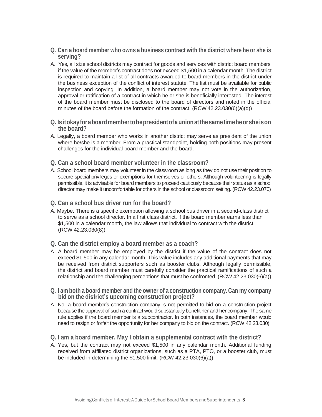- **Q. Can a board member who owns a business contract with the district where he or she is serving?**
- A. Yes, all size school districts may contract for goods and services with district board members, if the value of the member's contract does not exceed \$1,500 in a calendar month. The district is required to maintain a list of all contracts awarded to board members in the district under the business exception of the conflict of interest statute. The list must be available for public inspection and copying. In addition, a board member may not vote in the authorization, approval or ratification of a contract in which he or she is beneficially interested. The interest of the board member must be disclosed to the board of directors and noted in the official minutes of the board before the formation of the contract. (RCW 42.23.030(6)(a)(d))
- **Q. Isitokayforaboardmembertobepresidentofaunionatthesametimeheorsheison the board?**
- A. Legally, a board member who works in another district may serve as president of the union where he/she is a member. From a practical standpoint, holding both positions may present challenges for the individual board member and the board.
- **Q. Can a school board member volunteer in the classroom?**
- A. School board members may volunteer in the classroom as long as they do not use their position to secure special privileges or exemptions for themselves or others. Although volunteering is legally permissible, it is advisable for board members to proceed cautiously because their status as a school director may make it uncomfortable for others in the school or classroom setting. (RCW 42.23.070)
- **Q. Can a school bus driver run for the board?**
- A. Maybe. There is a specific exemption allowing a school bus driver in a second-class district to serve as a school director. In a first class district, if the board member earns less than \$1,500 in a calendar month, the law allows that individual to contract with the district. (RCW 42.23.030(8))

#### **Q. Can the district employ a board member as a coach?**

- A. A board member may be employed by the district if the value of the contract does not exceed \$1,500 in any calendar month. This value includes any additional payments that may be received from district supporters such as booster clubs. Although legally permissible, the district and board member must carefully consider the practical ramifications of such a relationship and the challenging perceptions that must be confronted. (RCW 42.23.030(6)(a))
- **Q. I am both a board member and the owner of a construction company. Can my company bid on the district's upcoming construction project?**
- A. No, a board member's construction company is not permitted to bid on a construction project because the approval of such a contract would substantially benefit her and her company. The same rule applies if the board member is a subcontractor. In both instances, the board member would need to resign or forfeit the opportunity for her company to bid on the contract. (RCW 42.23.030)
- **Q. I am a board member. May I obtain a supplemental contract with the district?**
- A. Yes, but the contract may not exceed \$1,500 in any calendar month. Additional funding received from affiliated district organizations, such as a PTA, PTO, or a booster club, must be included in determining the \$1,500 limit. (RCW 42.23.030(6)(a))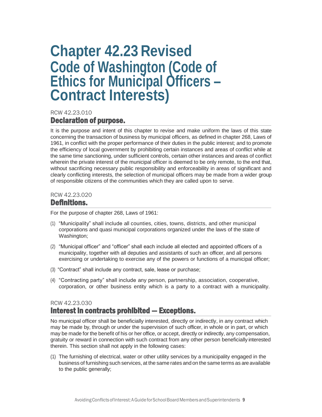### **Chapter 42.23 Revised Code of Washington (Code of Ethics for Municipal Officers – Contract Interests)**

#### RCW 42.23.010 Declaration of purpose.

It is the purpose and intent of this chapter to revise and make uniform the laws of this state concerning the transaction of business by municipal officers, as defined in chapter 268, Laws of 1961, in conflict with the proper performance of their duties in the public interest; and to promote the efficiency of local government by prohibiting certain instances and areas of conflict while at the same time sanctioning, under sufficient controls, certain other instances and areas of conflict wherein the private interest of the municipal officer is deemed to be only remote, to the end that, without sacrificing necessary public responsibility and enforceability in areas of significant and clearly conflicting interests, the selection of municipal officers may be made from a wider group of responsible citizens of the communities which they are called upon to serve.

#### RCW 42.23.020 Definitions.

For the purpose of chapter 268, Laws of 1961:

- (1) "Municipality" shall include all counties, cities, towns, districts, and other municipal corporations and quasi municipal corporations organized under the laws of the state of Washington;
- (2) "Municipal officer" and "officer" shall each include all elected and appointed officers of a municipality, together with all deputies and assistants of such an officer, and all persons exercising or undertaking to exercise any of the powers or functions of a municipal officer;
- (3) "Contract" shall include any contract, sale, lease or purchase;
- (4) "Contracting party" shall include any person, partnership, association, cooperative, corporation, or other business entity which is a party to a contract with a municipality.

#### RCW 42.23.030

#### Interest in contracts prohibited — Exceptions.

No municipal officer shall be beneficially interested, directly or indirectly, in any contract which may be made by, through or under the supervision of such officer, in whole or in part, or which may be made for the benefit of his or her office, or accept, directly or indirectly, any compensation, gratuity or reward in connection with such contract from any other person beneficially interested therein. This section shall not apply in the following cases:

(1) The furnishing of electrical, water or other utility services by a municipality engaged in the business of furnishing such services, at the same rates and on the same terms as areavailable to the public generally;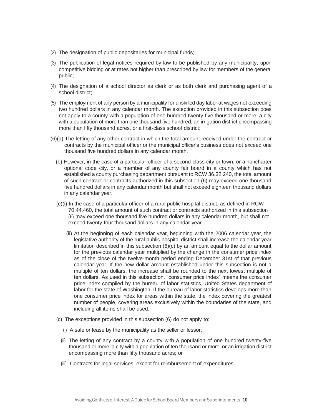- (2) The designation of public depositaries for municipal funds;
- (3) The publication of legal notices required by law to be published by any municipality, upon competitive bidding or at rates not higher than prescribed by law for members of the general public;
- (4) The designation of a school director as clerk or as both clerk and purchasing agent of a school district;
- (5) The employment of any person by a municipality for unskilled day labor at wages not exceeding two hundred dollars in any calendar month. The exception provided in this subsection does not apply to a county with a population of one hundred twenty-five thousand or more, a city with a population of more than one thousand five hundred, an irrigation district encompassing more than fifty thousand acres, or a first-class school district;
- (6)(a) The letting of any other contract in which the total amount received under the contract or contracts by the municipal officer or the municipal officer's business does not exceed one thousand five hundred dollars in any calendar month.
	- (b) However, in the case of a particular officer of a second-class city or town, or a noncharter optional code city, or a member of any county fair board in a county which has not established a county purchasing department pursuant to RCW 36.32.240, the total amount of such contract or contracts authorized in this subsection (6) may exceed one thousand five hundred dollars in any calendar month but shall not exceed eighteen thousand dollars in any calendar year.
	- (c)(i) In the case of a particular officer of a rural public hospital district, as defined in RCW 70.44.460, the total amount of such contract or contracts authorized in this subsection (6) may exceed one thousand five hundred dollars in any calendar month, but shall not exceed twenty-four thousand dollars in any calendar year.
		- (ii) At the beginning of each calendar year, beginning with the 2006 calendar year, the legislative authority of the rural public hospital district shall increase the calendar year limitation described in this subsection (6)(c) by an amount equal to the dollar amount for the previous calendar year multiplied by the change in the consumer price index as of the close of the twelve-month period ending December 31st of that previous calendar year. If the new dollar amount established under this subsection is not a multiple of ten dollars, the increase shall be rounded to the next lowest multiple of ten dollars. As used in this subsection, "consumer price index" means the consumer price index compiled by the bureau of labor statistics, United States department of labor for the state of Washington. If the bureau of labor statistics develops more than one consumer price index for areas within the state, the index covering the greatest number of people, covering areas exclusively within the boundaries of the state, and including all items shall be used.
	- (d) The exceptions provided in this subsection (6) do not apply to:
		- (i) A sale or lease by the municipality as the seller or lessor;
		- (ii) The letting of any contract by a county with a population of one hundred twenty-five thousand or more, a city with a population of ten thousand or more, or an irrigation district encompassing more than fifty thousand acres; or
		- (iii) Contracts for legal services, except for reimbursement of expenditures.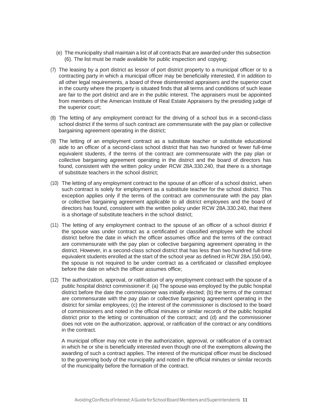- (e) The municipality shall maintain a list of all contracts that are awarded under this subsection (6). The list must be made available for public inspection and copying;
- (7) The leasing by a port district as lessor of port district property to a municipal officer or to a contracting party in which a municipal officer may be beneficially interested, if in addition to all other legal requirements, a board of three disinterested appraisers and the superior court in the county where the property is situated finds that all terms and conditions of such lease are fair to the port district and are in the public interest. The appraisers must be appointed from members of the American Institute of Real Estate Appraisers by the presiding judge of the superior court;
- (8) The letting of any employment contract for the driving of a school bus in a second-class school district if the terms of such contract are commensurate with the pay plan or collective bargaining agreement operating in the district;
- (9) The letting of an employment contract as a substitute teacher or substitute educational aide to an officer of a second-class school district that has two hundred or fewer full-time equivalent students, if the terms of the contract are commensurate with the pay plan or collective bargaining agreement operating in the district and the board of directors has found, consistent with the written policy under RCW 28A.330.240, that there is a shortage of substitute teachers in the school district;
- (10) The letting of any employment contract to the spouse of an officer of a school district, when such contract is solely for employment as a substitute teacher for the school district. This exception applies only if the terms of the contract are commensurate with the pay plan or collective bargaining agreement applicable to all district employees and the board of directors has found, consistent with the written policy under RCW 28A.330.240, that there is a shortage of substitute teachers in the school district;
- (11) The letting of any employment contract to the spouse of an officer of a school district if the spouse was under contract as a certificated or classified employee with the school district before the date in which the officer assumes office and the terms of the contract are commensurate with the pay plan or collective bargaining agreement operating in the district. However, in a second-class school district that has less than two hundred full-time equivalent students enrolled at the start of the school year as defined in RCW 28A.150.040, the spouse is not required to be under contract as a certificated or classified employee before the date on which the officer assumes office;
- (12) The authorization, approval, or ratification of any employment contract with the spouse of a public hospital district commissioner if: (a) The spouse was employed by the public hospital district before the date the commissioner was initially elected; (b) the terms of the contract are commensurate with the pay plan or collective bargaining agreement operating in the district for similar employees; (c) the interest of the commissioner is disclosed to the board of commissioners and noted in the official minutes or similar records of the public hospital district prior to the letting or continuation of the contract; and (d) and the commissioner does not vote on the authorization, approval, or ratification of the contract or any conditions in the contract.

A municipal officer may not vote in the authorization, approval, or ratification of a contract in which he or she is beneficially interested even though one of the exemptions allowing the awarding of such a contract applies. The interest of the municipal officer must be disclosed to the governing body of the municipality and noted in the official minutes or similar records of the municipality before the formation of the contract.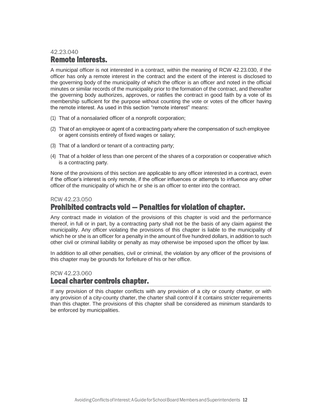#### 42.23.040 Remote interests.

A municipal officer is not interested in a contract, within the meaning of RCW 42.23.030, if the officer has only a remote interest in the contract and the extent of the interest is disclosed to the governing body of the municipality of which the officer is an officer and noted in the official minutes or similar records of the municipality prior to the formation of the contract, and thereafter the governing body authorizes, approves, or ratifies the contract in good faith by a vote of its membership sufficient for the purpose without counting the vote or votes of the officer having the remote interest. As used in this section "remote interest" means:

- (1) That of a nonsalaried officer of a nonprofit corporation;
- (2) That of an employee or agent of a contracting party where the compensation of such employee or agent consists entirely of fixed wages or salary;
- (3) That of a landlord or tenant of a contracting party;
- (4) That of a holder of less than one percent of the shares of a corporation or cooperative which is a contracting party.

None of the provisions of this section are applicable to any officer interested in a contract, even if the officer's interest is only remote, if the officer influences or attempts to influence any other officer of the municipality of which he or she is an officer to enter into the contract.

#### RCW 42.23.050

#### Prohibited contracts void — Penalties for violation of chapter.

Any contract made in violation of the provisions of this chapter is void and the performance thereof, in full or in part, by a contracting party shall not be the basis of any claim against the municipality. Any officer violating the provisions of this chapter is liable to the municipality of which he or she is an officer for a penalty in the amount of five hundred dollars, in addition to such other civil or criminal liability or penalty as may otherwise be imposed upon the officer by law.

In addition to all other penalties, civil or criminal, the violation by any officer of the provisions of this chapter may be grounds for forfeiture of his or her office.

#### RCW 42.23.060 Local charter controls chapter.

If any provision of this chapter conflicts with any provision of a city or county charter, or with any provision of a city-county charter, the charter shall control if it contains stricter requirements than this chapter. The provisions of this chapter shall be considered as minimum standards to be enforced by municipalities.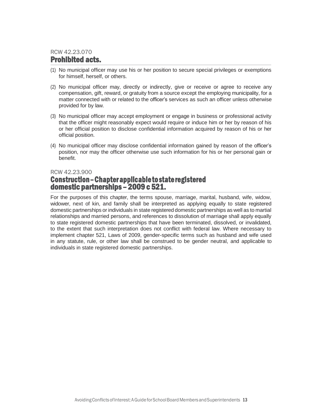#### RCW 42.23.070 Prohibited acts.

- (1) No municipal officer may use his or her position to secure special privileges or exemptions for himself, herself, or others.
- (2) No municipal officer may, directly or indirectly, give or receive or agree to receive any compensation, gift, reward, or gratuity from a source except the employing municipality, for a matter connected with or related to the officer's services as such an officer unless otherwise provided for by law.
- (3) No municipal officer may accept employment or engage in business or professional activity that the officer might reasonably expect would require or induce him or her by reason of his or her official position to disclose confidential information acquired by reason of his or her official position.
- (4) No municipal officer may disclose confidential information gained by reason of the officer's position, nor may the officer otherwise use such information for his or her personal gain or benefit.

#### RCW 42.23.900 Construction – Chapter applicable to state registered domestic partnerships – 2009 c 521.

For the purposes of this chapter, the terms spouse, marriage, marital, husband, wife, widow, widower, next of kin, and family shall be interpreted as applying equally to state registered domestic partnerships or individuals in state registered domestic partnerships as well as to martial relationships and married persons, and references to dissolution of marriage shall apply equally to state registered domestic partnerships that have been terminated, dissolved, or invalidated, to the extent that such interpretation does not conflict with federal law. Where necessary to implement chapter 521, Laws of 2009, gender-specific terms such as husband and wife used in any statute, rule, or other law shall be construed to be gender neutral, and applicable to individuals in state registered domestic partnerships.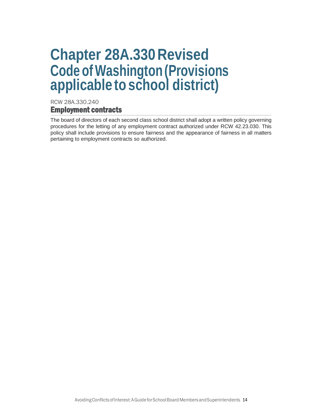### <span id="page-16-0"></span>**Chapter 28A.330 Revised Code ofWashington (Provisions applicable to school district)**

#### RCW 28A.330.240 Employment contracts

The board of directors of each second class school district shall adopt a written policy governing procedures for the letting of any employment contract authorized under RCW 42.23.030. This policy shall include provisions to ensure fairness and the appearance of fairness in all matters pertaining to employment contracts so authorized.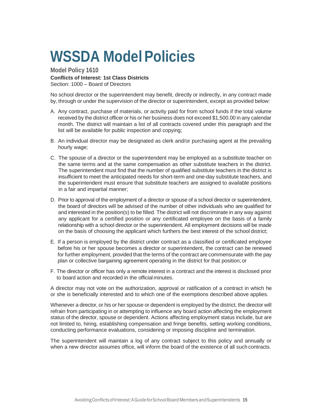# <span id="page-17-0"></span>**WSSDA ModelPolicies**

<span id="page-17-1"></span>**Model Policy 1610 Conflicts of Interest: 1st Class Districts**

Section: 1000 – Board of Directors

No school director or the superintendent may benefit, directly or indirectly, in any contract made by, through or under the supervision of the director or superintendent, except as provided below:

- A. Any contract, purchase of materials, or activity paid for from school funds if the total volume received by the district officer or his or her business does not exceed \$1,500.00 in any calendar month. The district will maintain a list of all contracts covered under this paragraph and the list will be available for public inspection and copying;
- B. An individual director may be designated as clerk and/or purchasing agent at the prevailing hourly wage;
- C. The spouse of a director or the superintendent may be employed as a substitute teacher on the same terms and at the same compensation as other substitute teachers in the district. The superintendent must find that the number of qualified substitute teachers in the district is insufficient to meet the anticipated needs for short-term and one-day substitute teachers, and the superintendent must ensure that substitute teachers are assigned to available positions in a fair and impartial manner;
- D. Prior to approval of the employment of a director or spouse of a school director or superintendent, the board of directors will be advised of the number of other individuals who are qualified for and interested in the position(s) to be filled. The district will not discriminate in any way against any applicant for a certified position or any certificated employee on the basis of a family relationship with a school director or the superintendent. All employment decisions will be made on the basis of choosing the applicant which furthers the best interest of the school district;
- E. If a person is employed by the district under contract as a classified or certificated employee before his or her spouse becomes a director or superintendent, the contract can be renewed for further employment, provided that the terms of the contract are commensurate with the pay plan or collective bargaining agreement operating in the district for that position; or
- F. The director or officer has only a remote interest in a contract and the interest is disclosed prior to board action and recorded in the official minutes.

A director may not vote on the authorization, approval or ratification of a contract in which he or she is beneficially interested and to which one of the exemptions described above applies.

Whenever a director, or his or her spouse or dependent is employed by the district, the director will refrain from participating in or attempting to influence any board action affecting the employment status of the director, spouse or dependent. Actions affecting employment status include, but are not limited to, hiring, establishing compensation and fringe benefits, setting working conditions, conducting performance evaluations, considering or imposing discipline and termination.

The superintendent will maintain a log of any contract subject to this policy and annually or when a new director assumes office, will inform the board of the existence of all such contracts.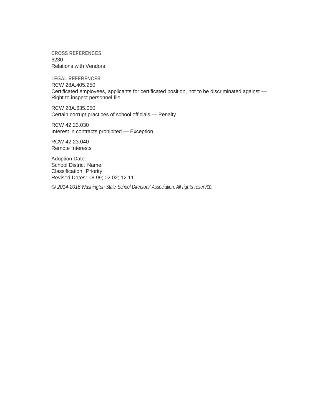**CROSS REFERENCES**: 6230 Relations with Vendors

**LEGAL REFERENCES**: RCW 28A.405.250 Certificated employees, applicants for certificated position, not to be discriminated against — Right to inspect personnel file

RCW 28A.635.050 Certain corrupt practices of school officials — Penalty

RCW 42.23.030 Interest in contracts prohibited — Exception

RCW 42.23.040 Remote Interests

Adoption Date: School District Name: Classification: Priority Revised Dates: 08.99; 02.02; 12.11

*© 2014-2016 Washington State School Directors' Association. All rights reserVED.*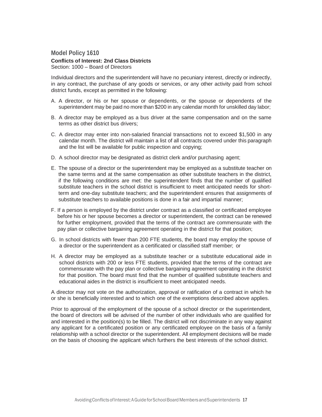#### <span id="page-19-0"></span>**Model Policy 1610 Conflicts of Interest: 2nd Class Districts** Section: 1000 – Board of Directors

Individual directors and the superintendent will have no pecuniary interest, directly or indirectly, in any contract, the purchase of any goods or services, or any other activity paid from school district funds, except as permitted in the following:

- A. A director, or his or her spouse or dependents, or the spouse or dependents of the superintendent may be paid no more than \$200 in any calendar month for unskilled day labor;
- B. A director may be employed as a bus driver at the same compensation and on the same terms as other district bus drivers;
- C. A director may enter into non-salaried financial transactions not to exceed \$1,500 in any calendar month. The district will maintain a list of all contracts covered under this paragraph and the list will be available for public inspection and copying;
- D. A school director may be designated as district clerk and/or purchasing agent;
- E. The spouse of a director or the superintendent may be employed as a substitute teacher on the same terms and at the same compensation as other substitute teachers in the district, if the following conditions are met: the superintendent finds that the number of qualified substitute teachers in the school district is insufficient to meet anticipated needs for shortterm and one-day substitute teachers; and the superintendent ensures that assignments of substitute teachers to available positions is done in a fair and impartial manner;
- F. If a person is employed by the district under contract as a classified or certificated employee before his or her spouse becomes a director or superintendent, the contract can be renewed for further employment, provided that the terms of the contract are commensurate with the pay plan or collective bargaining agreement operating in the district for that position;
- G. In school districts with fewer than 200 FTE students, the board may employ the spouse of a director or the superintendent as a certificated or classified staff member; or
- H. A director may be employed as a substitute teacher or a substitute educational aide in school districts with 200 or less FTE students, provided that the terms of the contract are commensurate with the pay plan or collective bargaining agreement operating in the district for that position. The board must find that the number of qualified substitute teachers and educational aides in the district is insufficient to meet anticipated needs.

A director may not vote on the authorization, approval or ratification of a contract in which he or she is beneficially interested and to which one of the exemptions described above applies.

Prior to approval of the employment of the spouse of a school director or the superintendent, the board of directors will be advised of the number of other individuals who are qualified for and interested in the position(s) to be filled. The district will not discriminate in any way against any applicant for a certificated position or any certificated employee on the basis of a family relationship with a school director or the superintendent. All employment decisions will be made on the basis of choosing the applicant which furthers the best interests of the school district.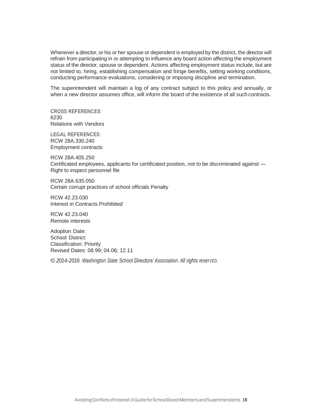Whenever a director, or his or her spouse or dependent is employed by the district, the director will refrain from participating in or attempting to influence any board action affecting the employment status of the director, spouse or dependent. Actions affecting employment status include, but are not limited to, hiring, establishing compensation and fringe benefits, setting working conditions, conducting performance evaluations, considering or imposing discipline and termination.

The superintendent will maintain a log of any contract subject to this policy and annually, or when a new director assumes office, will inform the board of the existence of all such contracts.

**CROSS REFERENCES**: 6230 Relations with Vendors

**LEGAL REFERENCES**: RCW 28A.330.240 Employment contracts

RCW 28A.405.250 Certificated employees, applicants for certificated position, not to be discriminated against — Right to inspect personnel file

RCW 28A.635.050 Certain corrupt practices of school officials Penalty

RCW 42.23.030 Interest in Contracts Prohibited

RCW 42.23.040 Remote interests

Adoption Date: School District: Classification: Priority Revised Dates: 08.99; 04.06; 12.11

*© 2014-2016 Washington State School Directors' Association. All rights reserVED.*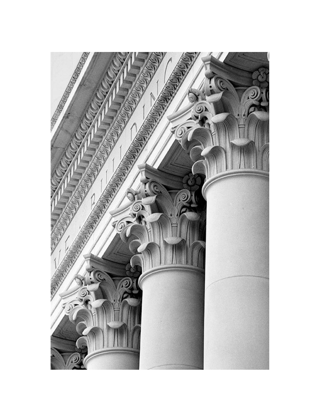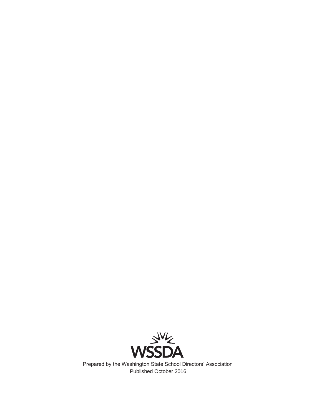

Prepared by the Washington State School Directors' Association Published October 2016